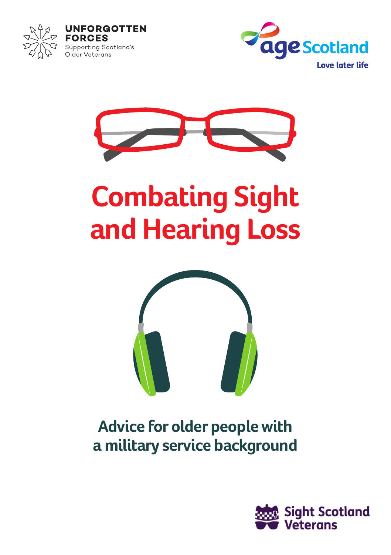







# **Combating Sight and Hearing Loss**



## **Advice for older people with a military service background**

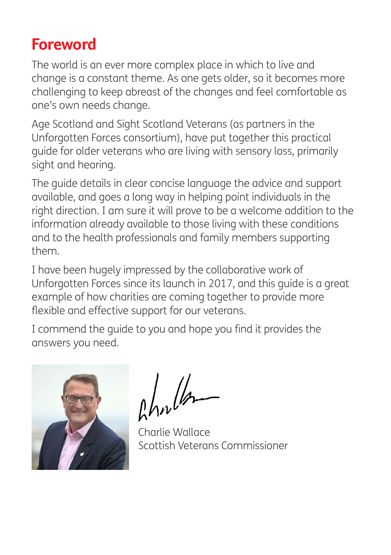## **Foreword**

The world is an ever more complex place in which to live and change is a constant theme. As one gets older, so it becomes more challenging to keep abreast of the changes and feel comfortable as one's own needs change.

Age Scotland and Sight Scotland Veterans (as partners in the Unforgotten Forces consortium), have put together this practical guide for older veterans who are living with sensory loss, primarily sight and hearing.

The guide details in clear concise language the advice and support available, and goes a long way in helping point individuals in the right direction. I am sure it will prove to be a welcome addition to the information already available to those living with these conditions and to the health professionals and family members supporting them.

I have been hugely impressed by the collaborative work of Unforgotten Forces since its launch in 2017, and this guide is a great example of how charities are coming together to provide more flexible and effective support for our veterans.

I commend the guide to you and hope you find it provides the answers you need.



Ahnder

Charlie Wallace Scottish Veterans Commissioner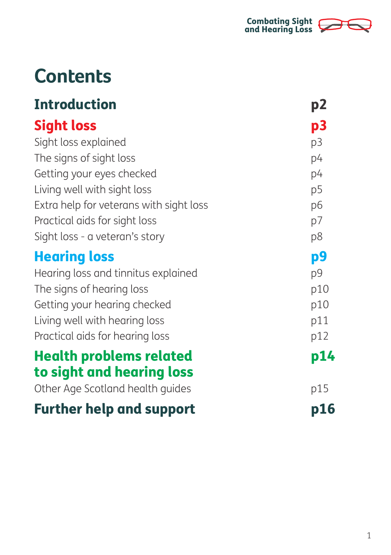

# **Contents**

| <b>Introduction</b>                                           | p2         |
|---------------------------------------------------------------|------------|
| <b>Sight loss</b>                                             | p3         |
| Sight loss explained                                          | p3         |
| The signs of sight loss                                       | p4         |
| Getting your eyes checked                                     | p4         |
| Living well with sight loss                                   | p5         |
| Extra help for veterans with sight loss                       | p6         |
| Practical aids for sight loss                                 | p7         |
| Sight loss - a veteran's story                                | p8         |
| <b>Hearing loss</b>                                           | p9         |
| Hearing loss and tinnitus explained                           | p9         |
| The signs of hearing loss                                     | p10        |
| Getting your hearing checked                                  | p10        |
| Living well with hearing loss                                 | p11        |
| Practical aids for hearing loss                               | p12        |
| <b>Health problems related</b>                                | p14        |
| to sight and hearing loss<br>Other Age Scotland health guides | p15        |
|                                                               |            |
| <b>Further help and support</b>                               | <b>p16</b> |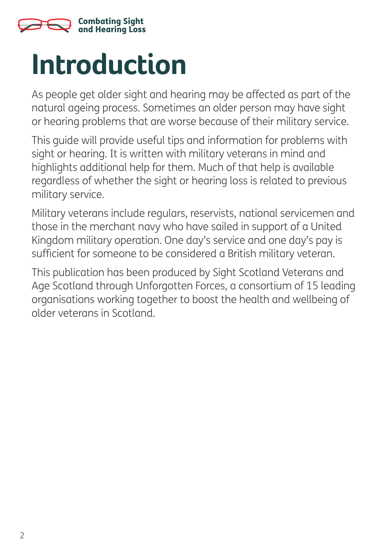

# **Introduction**

As people get older sight and hearing may be affected as part of the natural ageing process. Sometimes an older person may have sight or hearing problems that are worse because of their military service.

This guide will provide useful tips and information for problems with sight or hearing. It is written with military veterans in mind and highlights additional help for them. Much of that help is available regardless of whether the sight or hearing loss is related to previous military service.

Military veterans include regulars, reservists, national servicemen and those in the merchant navy who have sailed in support of a United Kingdom military operation. One day's service and one day's pay is sufficient for someone to be considered a British military veteran.

This publication has been produced by Sight Scotland Veterans and Age Scotland through Unforgotten Forces, a consortium of 15 leading organisations working together to boost the health and wellbeing of older veterans in Scotland.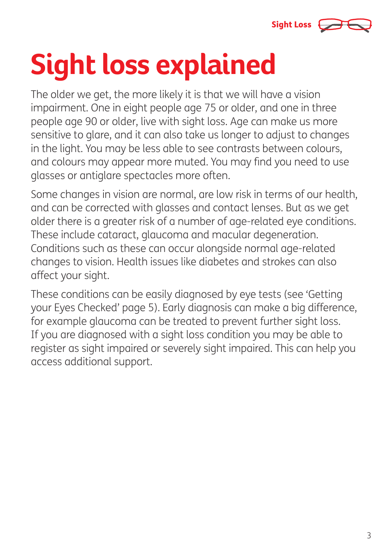

# **Sight loss explained**

The older we get, the more likely it is that we will have a vision impairment. One in eight people age 75 or older, and one in three people age 90 or older, live with sight loss. Age can make us more sensitive to glare, and it can also take us longer to adjust to changes in the light. You may be less able to see contrasts between colours, and colours may appear more muted. You may find you need to use glasses or antiglare spectacles more often.

Some changes in vision are normal, are low risk in terms of our health, and can be corrected with glasses and contact lenses. But as we get older there is a greater risk of a number of age-related eye conditions. These include cataract, glaucoma and macular degeneration. Conditions such as these can occur alongside normal age-related changes to vision. Health issues like diabetes and strokes can also affect your sight.

These conditions can be easily diagnosed by eye tests (see 'Getting your Eyes Checked' page 5). Early diagnosis can make a big difference, for example glaucoma can be treated to prevent further sight loss. If you are diagnosed with a sight loss condition you may be able to register as sight impaired or severely sight impaired. This can help you access additional support.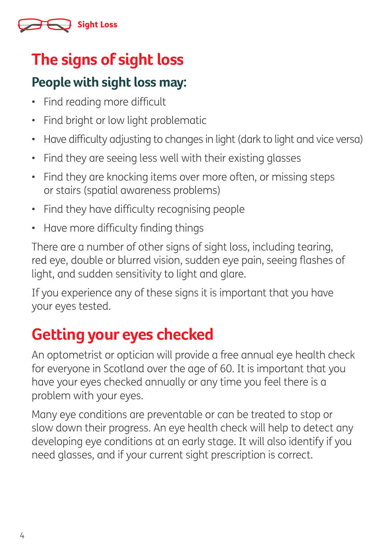

# **The signs of sight loss**

#### **People with sight loss may:**

- Find reading more difficult
- Find bright or low light problematic
- Have difficulty adjusting to changes in light (dark to light and vice versa)
- Find they are seeing less well with their existing glasses
- Find they are knocking items over more often, or missing steps or stairs (spatial awareness problems)
- Find they have difficulty recognising people
- Have more difficulty finding things

There are a number of other signs of sight loss, including tearing, red eye, double or blurred vision, sudden eye pain, seeing flashes of light, and sudden sensitivity to light and glare.

If you experience any of these signs it is important that you have your eyes tested.

# **Getting your eyes checked**

An optometrist or optician will provide a free annual eye health check for everyone in Scotland over the age of 60. It is important that you have your eyes checked annually or any time you feel there is a problem with your eyes.

Many eye conditions are preventable or can be treated to stop or slow down their progress. An eye health check will help to detect any developing eye conditions at an early stage. It will also identify if you need glasses, and if your current sight prescription is correct.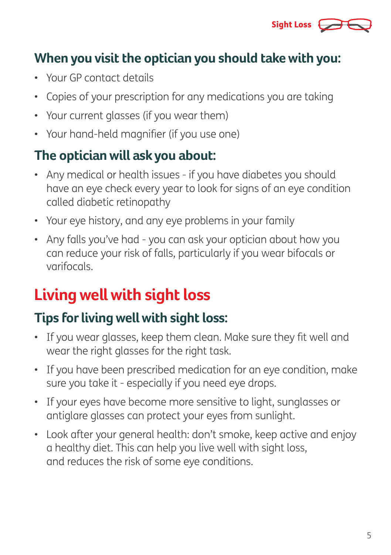

#### **When you visit the optician you should take with you:**

- Your GP contact details
- Copies of your prescription for any medications you are taking
- Your current glasses (if you wear them)
- Your hand-held magnifier (if you use one)

#### **The optician will ask you about:**

- Any medical or health issues if you have diabetes you should have an eye check every year to look for signs of an eye condition called diabetic retinopathy
- Your eye history, and any eye problems in your family
- Any falls you've had you can ask your optician about how you can reduce your risk of falls, particularly if you wear bifocals or varifocals.

# **Living well with sight loss**

### **Tips for living well with sight loss:**

- If you wear glasses, keep them clean. Make sure they fit well and wear the right glasses for the right task.
- If you have been prescribed medication for an eye condition, make sure you take it - especially if you need eye drops.
- If your eyes have become more sensitive to light, sunglasses or antiglare glasses can protect your eyes from sunlight.
- Look after your general health: don't smoke, keep active and enjoy a healthy diet. This can help you live well with sight loss, and reduces the risk of some eye conditions.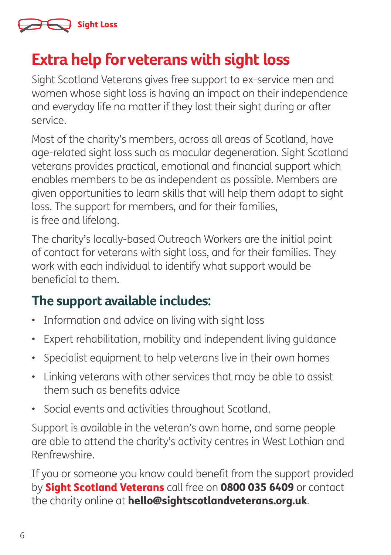

## **Extra help for veterans with sight loss**

Sight Scotland Veterans gives free support to ex-service men and women whose sight loss is having an impact on their independence and everyday life no matter if they lost their sight during or after service.

Most of the charity's members, across all areas of Scotland, have age-related sight loss such as macular degeneration. Sight Scotland veterans provides practical, emotional and financial support which enables members to be as independent as possible. Members are given opportunities to learn skills that will help them adapt to sight loss. The support for members, and for their families, is free and lifelong.

The charity's locally-based Outreach Workers are the initial point of contact for veterans with sight loss, and for their families. They work with each individual to identify what support would be beneficial to them.

#### **The support available includes:**

- Information and advice on living with sight loss
- Expert rehabilitation, mobility and independent living guidance
- Specialist equipment to help veterans live in their own homes
- Linking veterans with other services that may be able to assist them such as benefits advice
- Social events and activities throughout Scotland.

Support is available in the veteran's own home, and some people are able to attend the charity's activity centres in West Lothian and Renfrewshire.

If you or someone you know could benefit from the support provided by **Sight Scotland Veterans** call free on 0800 035 6409 or contact the charity online at **hello@sightscotlandveterans.org.uk**.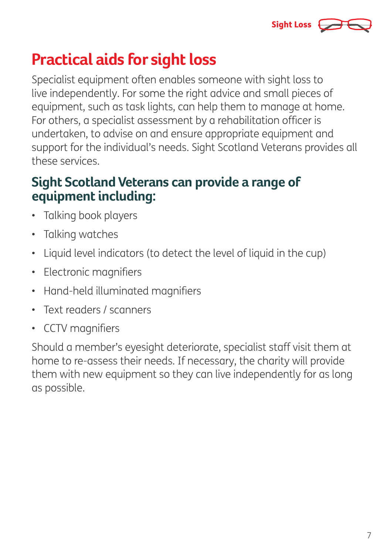

## **Practical aids for sight loss**

Specialist equipment often enables someone with sight loss to live independently. For some the right advice and small pieces of equipment, such as task lights, can help them to manage at home. For others, a specialist assessment by a rehabilitation officer is undertaken, to advise on and ensure appropriate equipment and support for the individual's needs. Sight Scotland Veterans provides all these services.

#### **Sight Scotland Veterans can provide a range of equipment including:**

- Talking book players
- Talking watches
- Liquid level indicators (to detect the level of liquid in the cup)
- Electronic magnifiers
- Hand-held illuminated magnifiers
- Text readers / scanners
- CCTV magnifiers

Should a member's eyesight deteriorate, specialist staff visit them at home to re-assess their needs. If necessary, the charity will provide them with new equipment so they can live independently for as long as possible.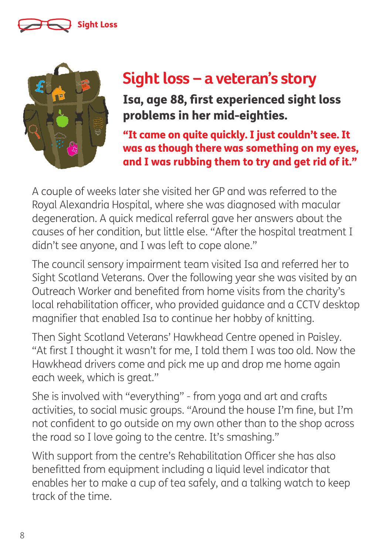### Sight Loss



# **Sight loss – a veteran's story**

Isa, age 88, first experienced sight loss problems in her mid-eighties.

"It came on quite quickly. I just couldn't see. It was as though there was something on my eyes, and I was rubbing them to try and get rid of it."

A couple of weeks later she visited her GP and was referred to the Royal Alexandria Hospital, where she was diagnosed with macular degeneration. A quick medical referral gave her answers about the causes of her condition, but little else. "After the hospital treatment I didn't see anyone, and I was left to cope alone."

The council sensory impairment team visited Isa and referred her to Sight Scotland Veterans. Over the following year she was visited by an Outreach Worker and benefited from home visits from the charity's local rehabilitation officer, who provided guidance and a CCTV desktop magnifier that enabled Isa to continue her hobby of knitting.

Then Sight Scotland Veterans' Hawkhead Centre opened in Paisley. "At first I thought it wasn't for me, I told them I was too old. Now the Hawkhead drivers come and pick me up and drop me home again each week, which is great."

She is involved with "everything" - from yoga and art and crafts activities, to social music groups. "Around the house I'm fine, but I'm not confident to go outside on my own other than to the shop across the road so I love going to the centre. It's smashing."

With support from the centre's Rehabilitation Officer she has also benefitted from equipment including a liquid level indicator that enables her to make a cup of tea safely, and a talking watch to keep track of the time.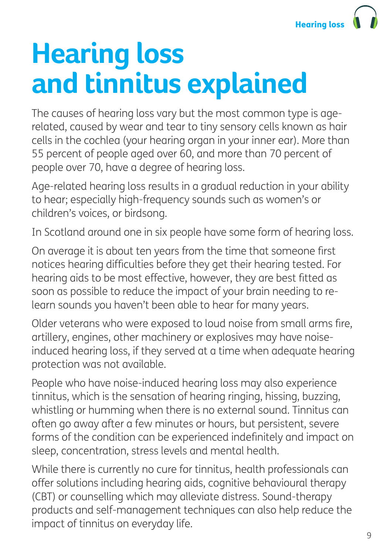# **Hearing loss and tinnitus explained**

The causes of hearing loss vary but the most common type is agerelated, caused by wear and tear to tiny sensory cells known as hair cells in the cochlea (your hearing organ in your inner ear). More than 55 percent of people aged over 60, and more than 70 percent of people over 70, have a degree of hearing loss.

Age-related hearing loss results in a gradual reduction in your ability to hear; especially high-frequency sounds such as women's or children's voices, or birdsong.

In Scotland around one in six people have some form of hearing loss.

On average it is about ten years from the time that someone first notices hearing difficulties before they get their hearing tested. For hearing aids to be most effective, however, they are best fitted as soon as possible to reduce the impact of your brain needing to relearn sounds you haven't been able to hear for many years.

Older veterans who were exposed to loud noise from small arms fire, artillery, engines, other machinery or explosives may have noiseinduced hearing loss, if they served at a time when adequate hearing protection was not available.

People who have noise-induced hearing loss may also experience tinnitus, which is the sensation of hearing ringing, hissing, buzzing, whistling or humming when there is no external sound. Tinnitus can often go away after a few minutes or hours, but persistent, severe forms of the condition can be experienced indefinitely and impact on sleep, concentration, stress levels and mental health.

While there is currently no cure for tinnitus, health professionals can offer solutions including hearing aids, cognitive behavioural therapy (CBT) or counselling which may alleviate distress. Sound-therapy products and self-management techniques can also help reduce the impact of tinnitus on everyday life.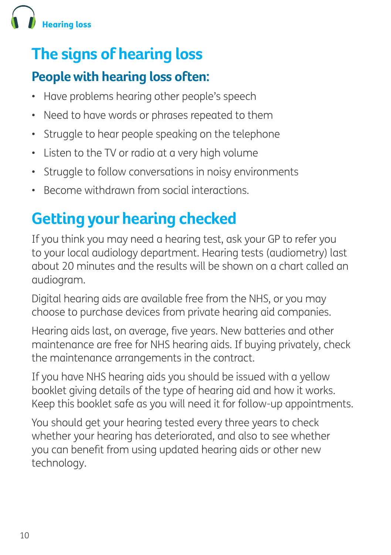

# **The signs of hearing loss**

### **People with hearing loss often:**

- Have problems hearing other people's speech
- Need to have words or phrases repeated to them
- Struggle to hear people speaking on the telephone
- Listen to the TV or radio at a very high volume
- Struggle to follow conversations in noisy environments
- Become withdrawn from social interactions.

# **Getting your hearing checked**

If you think you may need a hearing test, ask your GP to refer you to your local audiology department. Hearing tests (audiometry) last about 20 minutes and the results will be shown on a chart called an audiogram.

Digital hearing aids are available free from the NHS, or you may choose to purchase devices from private hearing aid companies.

Hearing aids last, on average, five years. New batteries and other maintenance are free for NHS hearing aids. If buying privately, check the maintenance arrangements in the contract.

If you have NHS hearing aids you should be issued with a yellow booklet giving details of the type of hearing aid and how it works. Keep this booklet safe as you will need it for follow-up appointments.

You should get your hearing tested every three years to check whether your hearing has deteriorated, and also to see whether you can benefit from using updated hearing aids or other new technology.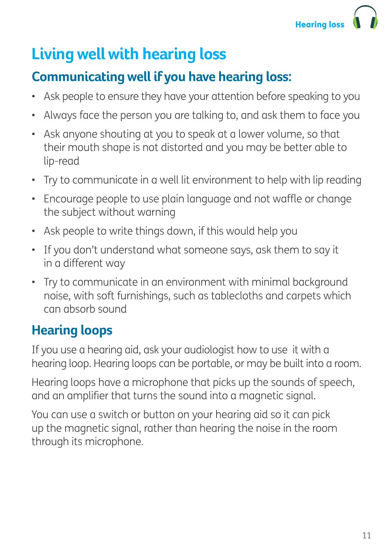# **Living well with hearing loss**

### **Communicating well if you have hearing loss:**

- Ask people to ensure they have your attention before speaking to you
- Always face the person you are talking to, and ask them to face you
- Ask anyone shouting at you to speak at a lower volume, so that their mouth shape is not distorted and you may be better able to lip-read
- Try to communicate in a well lit environment to help with lip reading
- Encourage people to use plain language and not waffle or change the subject without warning
- Ask people to write things down, if this would help you
- If you don't understand what someone says, ask them to say it in a different way
- Try to communicate in an environment with minimal background noise, with soft furnishings, such as tablecloths and carpets which can absorb sound

### **Hearing loops**

If you use a hearing aid, ask your audiologist how to use it with a hearing loop. Hearing loops can be portable, or may be built into a room.

Hearing loops have a microphone that picks up the sounds of speech, and an amplifier that turns the sound into a magnetic signal.

You can use a switch or button on your hearing aid so it can pick up the magnetic signal, rather than hearing the noise in the room through its microphone.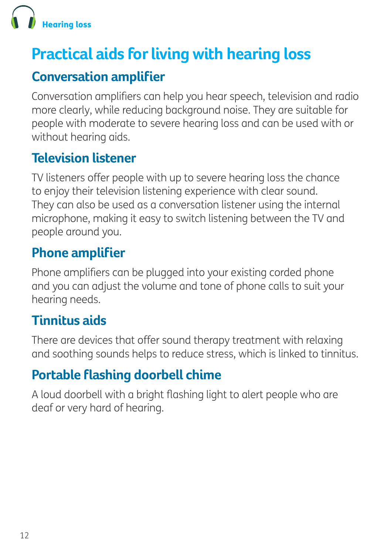

# **Practical aids for living with hearing loss**

#### **Conversation amplifier**

Conversation amplifiers can help you hear speech, television and radio more clearly, while reducing background noise. They are suitable for people with moderate to severe hearing loss and can be used with or without hearing aids.

#### **Television listener**

TV listeners offer people with up to severe hearing loss the chance to enjoy their television listening experience with clear sound. They can also be used as a conversation listener using the internal microphone, making it easy to switch listening between the TV and people around you.

#### **Phone amplifier**

Phone amplifiers can be plugged into your existing corded phone and you can adjust the volume and tone of phone calls to suit your hearing needs.

#### **Tinnitus aids**

There are devices that offer sound therapy treatment with relaxing and soothing sounds helps to reduce stress, which is linked to tinnitus.

### **Portable flashing doorbell chime**

A loud doorbell with a bright flashing light to alert people who are deaf or very hard of hearing.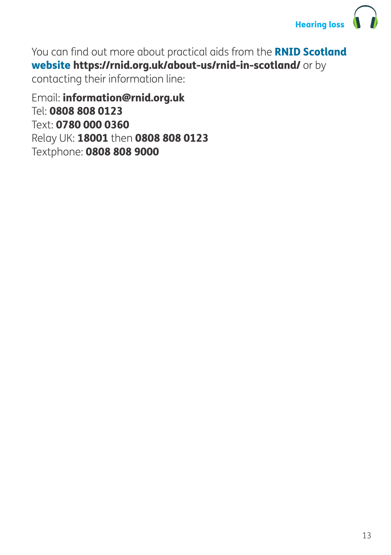

You can find out more about practical aids from the **RNID Scotland** website https://rnid.org.uk/about-us/rnid-in-scotland/ or by contacting their information line:

Email: information@rnid.org.uk Tel: 0808 808 0123 Text: 0780 000 0360 Relay UK: 18001 then 0808 808 0123 Textphone: 0808 808 9000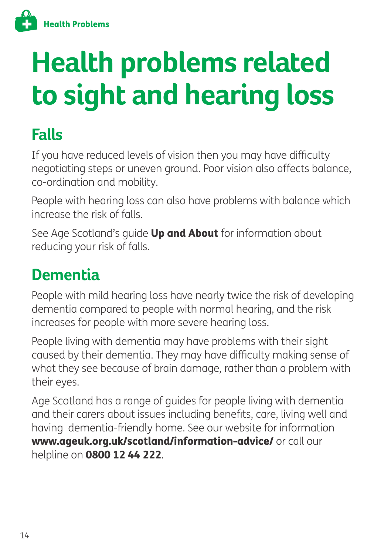

# **Health problems related to sight and hearing loss**

# **Falls**

If you have reduced levels of vision then you may have difficulty negotiating steps or uneven ground. Poor vision also affects balance, co-ordination and mobility.

People with hearing loss can also have problems with balance which increase the risk of falls.

See Age Scotland's quide Up and About for information about reducing your risk of falls.

## **Dementia**

People with mild hearing loss have nearly twice the risk of developing dementia compared to people with normal hearing, and the risk increases for people with more severe hearing loss.

People living with dementia may have problems with their sight caused by their dementia. They may have difficulty making sense of what they see because of brain damage, rather than a problem with their eyes.

Age Scotland has a range of guides for people living with dementia and their carers about issues including benefits, care, living well and having dementia-friendly home. See our website for information www.ageuk.org.uk/scotland/information-advice/ or call our helpline on 0800 12 44 222.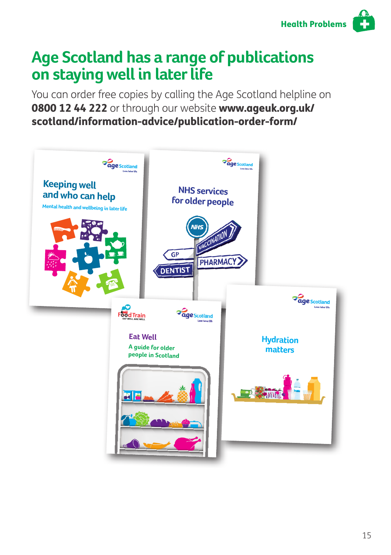

## **Age Scotland has a range of publications on staying well in later life**

You can order free copies by calling the Age Scotland helpline on 0800 12 44 222 or through our website www.ageuk.org.uk/ scotland/information-advice/publication-order-form/

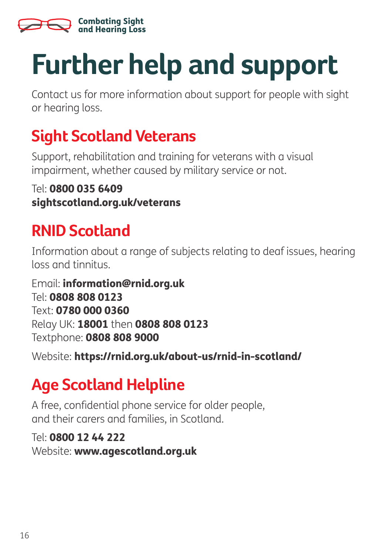

# **Further help and support**

Contact us for more information about support for people with sight or hearing loss.

# **Sight Scotland Veterans**

Support, rehabilitation and training for veterans with a visual impairment, whether caused by military service or not.

#### Tel: 0800 035 6409 sightscotland.org.uk/veterans

# **RNID Scotland**

Information about a range of subjects relating to deaf issues, hearing loss and tinnitus.

Email: information@rnid.org.uk Tel: 0808 808 0123 Text: 0780 000 0360 Relay UK: 18001 then 0808 808 0123 Textphone: 0808 808 9000

Website: https://rnid.org.uk/about-us/rnid-in-scotland/

# **Age Scotland Helpline**

A free, confidential phone service for older people, and their carers and families, in Scotland.

#### Tel: 0800 12 44 222

Website: www.agescotland.org.uk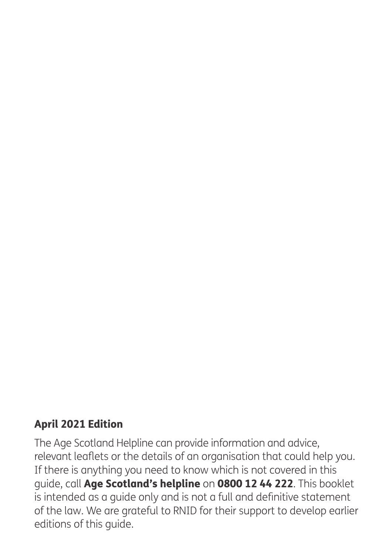#### April 2021 Edition

The Age Scotland Helpline can provide information and advice, relevant leaflets or the details of an organisation that could help you. If there is anything you need to know which is not covered in this guide, call Age Scotland's helpline on 0800 12 44 222. This booklet is intended as a guide only and is not a full and definitive statement of the law. We are grateful to RNID for their support to develop earlier editions of this guide.